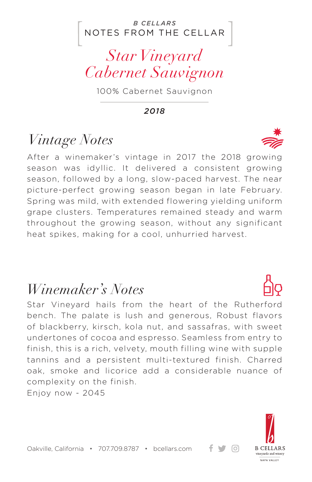#### NOTES FROM THE CELLAR *B CELLARS*

## *Star Vineyard Cabernet Sauvignon*

100% Cabernet Sauvignon

*2018*

# *Vintage Notes*

After a winemaker's vintage in 2017 the 2018 growing season was idyllic. It delivered a consistent growing season, followed by a long, slow-paced harvest. The near picture-perfect growing season began in late February. Spring was mild, with extended flowering yielding uniform grape clusters. Temperatures remained steady and warm throughout the growing season, without any significant heat spikes, making for a cool, unhurried harvest.

### *Winemaker's Notes*

Star Vineyard hails from the heart of the Rutherford bench. The palate is lush and generous, Robust flavors of blackberry, kirsch, kola nut, and sassafras, with sweet undertones of cocoa and espresso. Seamless from entry to finish, this is a rich, velvety, mouth filling wine with supple tannins and a persistent multi-textured finish. Charred oak, smoke and licorice add a considerable nuance of complexity on the finish.

Enjoy now - 2045



ര